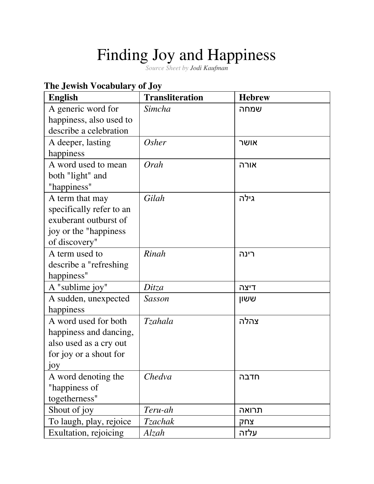# Finding Joy and Happiness

*Source Sheet by Jodi [Kaufman](https://www.sefaria.org/profile/jodi-kaufman)*

## **The Jewish Vocabulary of Joy**

| <b>English</b>           | <b>Transliteration</b> | <b>Hebrew</b> |
|--------------------------|------------------------|---------------|
| A generic word for       | Simcha                 | שמחה          |
| happiness, also used to  |                        |               |
| describe a celebration   |                        |               |
| A deeper, lasting        | Osher                  | אושר          |
| happiness                |                        |               |
| A word used to mean      | Orah                   | אורה          |
| both "light" and         |                        |               |
| "happiness"              |                        |               |
| A term that may          | Gilah                  | גילה          |
| specifically refer to an |                        |               |
| exuberant outburst of    |                        |               |
| joy or the "happiness"   |                        |               |
| of discovery"            |                        |               |
| A term used to           | Rinah                  | רינה          |
| describe a "refreshing"  |                        |               |
| happiness"               |                        |               |
| A "sublime joy"          | Ditza                  | דיצה          |
| A sudden, unexpected     | Sasson                 | ששון          |
| happiness                |                        |               |
| A word used for both     | <i>Tzahala</i>         | צהלה          |
| happiness and dancing,   |                        |               |
| also used as a cry out   |                        |               |
| for joy or a shout for   |                        |               |
| 10У                      |                        |               |
| A word denoting the      | Chedva                 | חדבה          |
| "happiness of            |                        |               |
| togetherness"            |                        |               |
| Shout of joy             | Teru-ah                | תרואה         |
| To laugh, play, rejoice  | <b>Tzachak</b>         | צחק           |
| Exultation, rejoicing    | Alzah                  | עלזה          |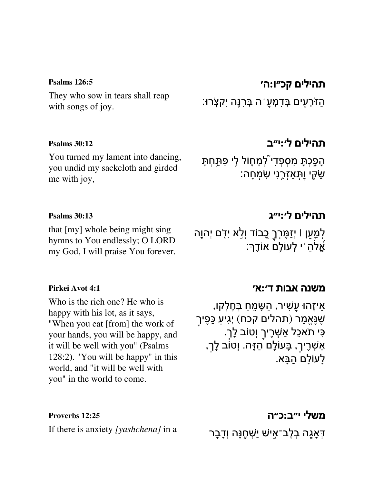#### **[Psalms](https://www.sefaria.org/Psalms.126.5) 126:5**

They who sow in tears shall reap with songs of joy.

#### **[Psalms](https://www.sefaria.org/Psalms.30.12) 30:12**

You turned my lament into dancing, you undid my sackcloth and girded me with joy,

## [תהילים](https://www.sefaria.org/Psalms.126.5) קכ״ו**:**ה׳

ֿהַזֹּרְעָים בְּדִמְעַ ה בְּרִנָּה יִקְצְרוּ:

## [תהילים](https://www.sefaria.org/Psalms.30.12) ל׳**:**י״ב

ָהָפָכָתָ מְסִפְּדִי לְמָחֶוֹל לִי פְּתַּחִתָּ ַשְּׂיֱי וַתְּאַזְרֶנִי שִׂמְחָה:

### **[Psalms](https://www.sefaria.org/Psalms.30.13) 30:13**

that [my] whole being might sing hymns to You endlessly; O LORD my God, I will praise You forever.

## [תהילים](https://www.sefaria.org/Psalms.30.13) ל׳**:**י״ג

[משנה](https://www.sefaria.org/Pirkei_Avot.4.1) אבות ד׳**:**א׳

לְמַעַן ו<sub>ּ</sub>יְזַמֶּרְךָ כֻבוֹד וְלֵ<sup>ׂ</sup>א יִדִּֽם יְהוֵה ּאֱלֹהַ ֹי לְעוֹלָם אוֹדֶךָ:

ָאֵיזֶהוּ עשִׁיר, הַשֶּׂמֵחַ בְּחֵלְקוֹ,

ָ**ֿיִ** תֹאכֵל אַשְׁרֶיךַ וְטוֹב לָךְ.

ֶשֶׁנֱּא ַמר (תהלים קכח) יְִג ַ יע ַכֶּפּ ָ יך

ֿאַשְׁרֶיךָ, בָּעוֹלָם הַזֶּה. וְטוֹב לָךְ,

#### **[Pirkei](https://www.sefaria.org/Pirkei_Avot.4.1) Avot 4:1**

Who is the rich one? He who is happy with his lot, as it says, "When you eat [from] the work of your hands, you will be happy, and it will be well with you" (Psalms 128:2). "You will be happy" in this world, and "it will be well with you" in the world to come.

# [משלי](https://www.sefaria.org/Proverbs.12.25) י״ב**:**כ״ה

ַלַעוֹלַם הַבָּא.

ּדְאָגָה בְלֶב־אַישׁ יַשְׁחֶנָּה וְדָבָר

**[Proverbs](https://www.sefaria.org/Proverbs.12.25) 12:25** If there is anxiety *[yashchena]* in a